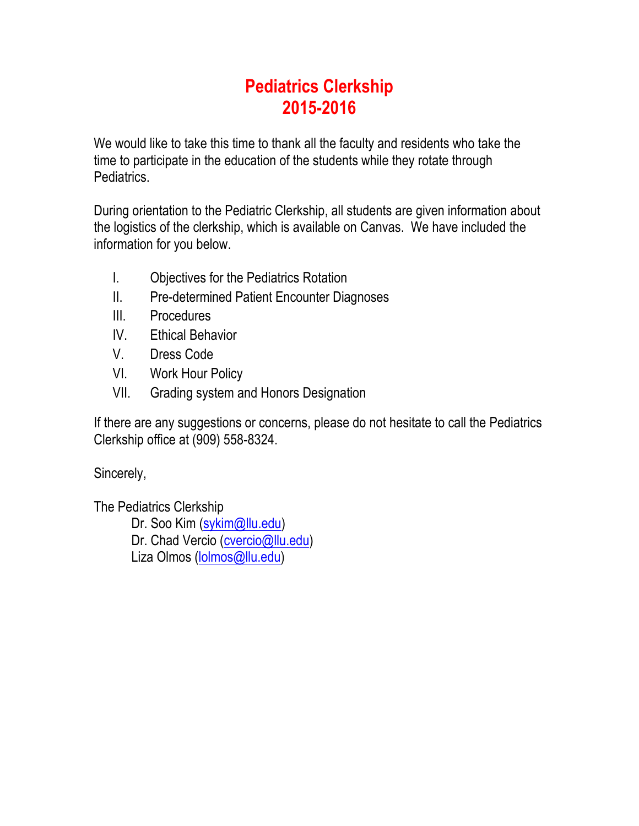# **Pediatrics Clerkship 2015-2016**

We would like to take this time to thank all the faculty and residents who take the time to participate in the education of the students while they rotate through Pediatrics.

During orientation to the Pediatric Clerkship, all students are given information about the logistics of the clerkship, which is available on Canvas. We have included the information for you below.

- I. Objectives for the Pediatrics Rotation
- II. Pre-determined Patient Encounter Diagnoses
- III. Procedures
- IV. Ethical Behavior
- V. Dress Code
- VI. Work Hour Policy
- VII. Grading system and Honors Designation

If there are any suggestions or concerns, please do not hesitate to call the Pediatrics Clerkship office at (909) 558-8324.

Sincerely,

The Pediatrics Clerkship

Dr. Soo Kim (sykim@llu.edu) Dr. Chad Vercio (cvercio@llu.edu) Liza Olmos (lolmos@llu.edu)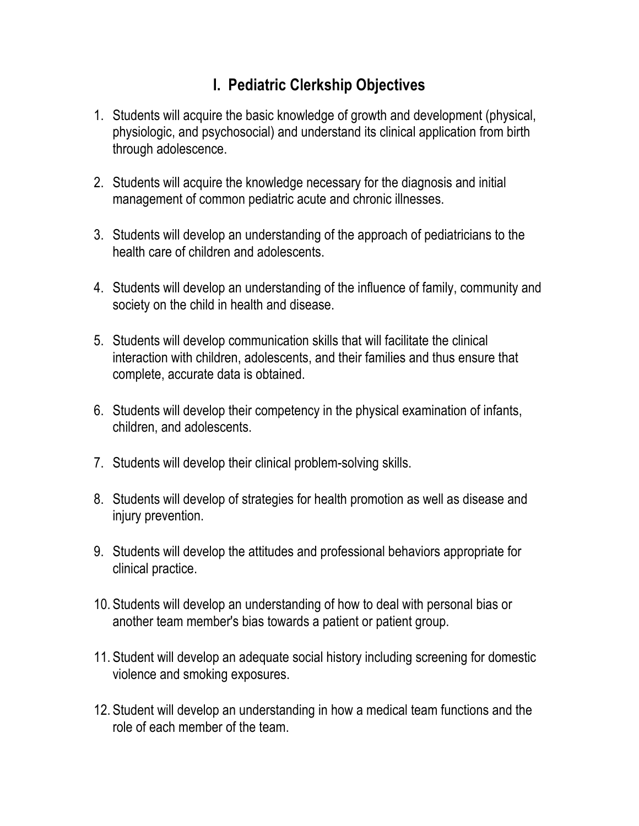#### **I. Pediatric Clerkship Objectives**

- 1. Students will acquire the basic knowledge of growth and development (physical, physiologic, and psychosocial) and understand its clinical application from birth through adolescence.
- 2. Students will acquire the knowledge necessary for the diagnosis and initial management of common pediatric acute and chronic illnesses.
- 3. Students will develop an understanding of the approach of pediatricians to the health care of children and adolescents.
- 4. Students will develop an understanding of the influence of family, community and society on the child in health and disease.
- 5. Students will develop communication skills that will facilitate the clinical interaction with children, adolescents, and their families and thus ensure that complete, accurate data is obtained.
- 6. Students will develop their competency in the physical examination of infants, children, and adolescents.
- 7. Students will develop their clinical problem-solving skills.
- 8. Students will develop of strategies for health promotion as well as disease and injury prevention.
- 9. Students will develop the attitudes and professional behaviors appropriate for clinical practice.
- 10. Students will develop an understanding of how to deal with personal bias or another team member's bias towards a patient or patient group.
- 11. Student will develop an adequate social history including screening for domestic violence and smoking exposures.
- 12. Student will develop an understanding in how a medical team functions and the role of each member of the team.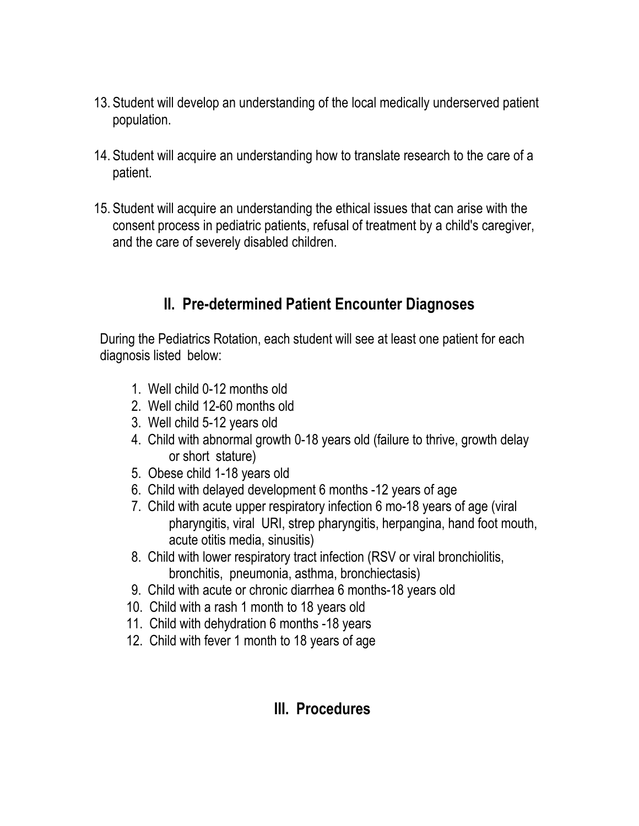- 13. Student will develop an understanding of the local medically underserved patient population.
- 14. Student will acquire an understanding how to translate research to the care of a patient.
- 15. Student will acquire an understanding the ethical issues that can arise with the consent process in pediatric patients, refusal of treatment by a child's caregiver, and the care of severely disabled children.

#### **II. Pre-determined Patient Encounter Diagnoses**

During the Pediatrics Rotation, each student will see at least one patient for each diagnosis listed below:

- 1. Well child 0-12 months old
- 2. Well child 12-60 months old
- 3. Well child 5-12 years old
- 4. Child with abnormal growth 0-18 years old (failure to thrive, growth delay or short stature)
- 5. Obese child 1-18 years old
- 6. Child with delayed development 6 months -12 years of age
- 7. Child with acute upper respiratory infection 6 mo-18 years of age (viral pharyngitis, viral URI, strep pharyngitis, herpangina, hand foot mouth, acute otitis media, sinusitis)
- 8. Child with lower respiratory tract infection (RSV or viral bronchiolitis, bronchitis, pneumonia, asthma, bronchiectasis)
- 9. Child with acute or chronic diarrhea 6 months-18 years old
- 10. Child with a rash 1 month to 18 years old
- 11. Child with dehydration 6 months -18 years
- 12. Child with fever 1 month to 18 years of age

## **III. Procedures**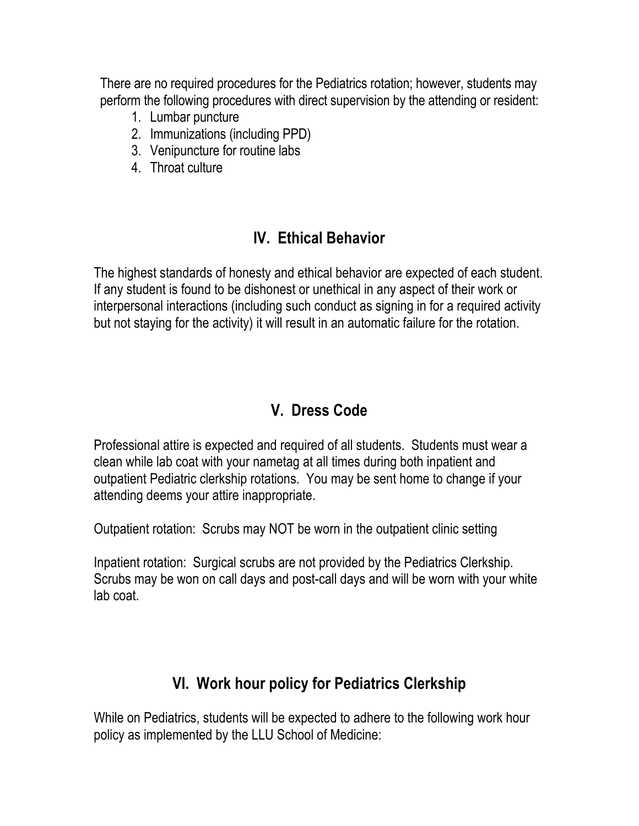There are no required procedures for the Pediatrics rotation; however, students may perform the following procedures with direct supervision by the attending or resident:

- 1. Lumbar puncture
- 2. Immunizations (including PPD)
- 3. Venipuncture for routine labs
- 4. Throat culture

#### **IV. Ethical Behavior**

The highest standards of honesty and ethical behavior are expected of each student. If any student is found to be dishonest or unethical in any aspect of their work or interpersonal interactions (including such conduct as signing in for a required activity but not staying for the activity) it will result in an automatic failure for the rotation.

## **V. Dress Code**

Professional attire is expected and required of all students. Students must wear a clean while lab coat with your nametag at all times during both inpatient and outpatient Pediatric clerkship rotations. You may be sent home to change if your attending deems your attire inappropriate.

Outpatient rotation: Scrubs may NOT be worn in the outpatient clinic setting

Inpatient rotation: Surgical scrubs are not provided by the Pediatrics Clerkship. Scrubs may be won on call days and post-call days and will be worn with your white lab coat.

## **VI. Work hour policy for Pediatrics Clerkship**

While on Pediatrics, students will be expected to adhere to the following work hour policy as implemented by the LLU School of Medicine: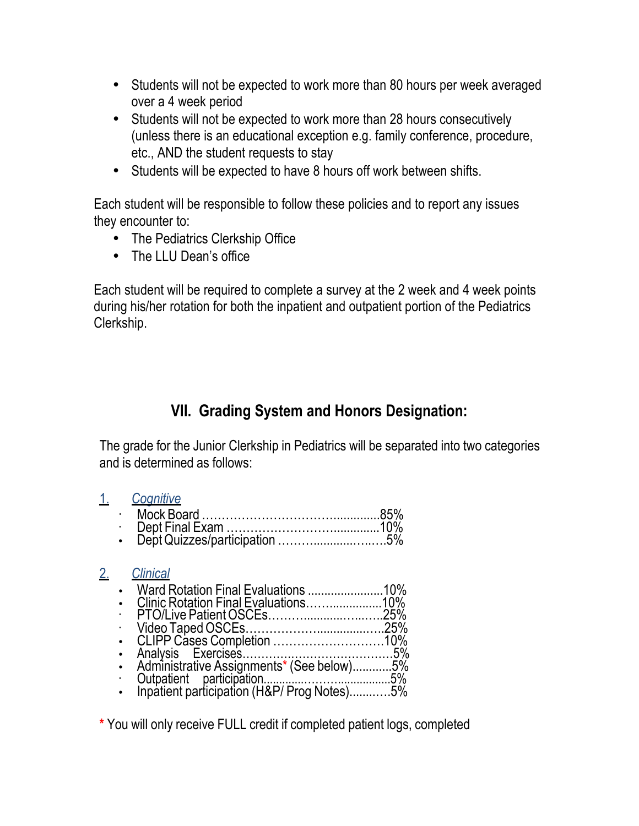- Students will not be expected to work more than 80 hours per week averaged over a 4 week period
- Students will not be expected to work more than 28 hours consecutively (unless there is an educational exception e.g. family conference, procedure, etc., AND the student requests to stay
- Students will be expected to have 8 hours off work between shifts.

Each student will be responsible to follow these policies and to report any issues they encounter to:

- The Pediatrics Clerkship Office
- The LLU Dean's office

Each student will be required to complete a survey at the 2 week and 4 week points during his/her rotation for both the inpatient and outpatient portion of the Pediatrics Clerkship.

## **VII. Grading System and Honors Designation:**

The grade for the Junior Clerkship in Pediatrics will be separated into two categories and is determined as follows:

| ٠ | Cognitive |                                              |
|---|-----------|----------------------------------------------|
|   |           |                                              |
|   |           |                                              |
|   |           |                                              |
|   |           |                                              |
|   |           |                                              |
|   |           |                                              |
|   |           |                                              |
|   |           |                                              |
|   |           |                                              |
|   |           |                                              |
|   |           |                                              |
|   |           |                                              |
|   |           |                                              |
|   |           | <b>Clinical</b><br>PTO/Live Patient OSCEs25% |

**\*** You will only receive FULL credit if completed patient logs, completed